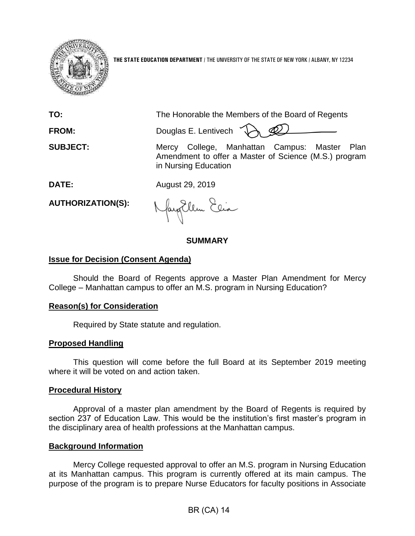

**THE STATE EDUCATION DEPARTMENT** / THE UNIVERSITY OF THE STATE OF NEW YORK / ALBANY, NY 12234

**TO:** The Honorable the Members of the Board of Regents **FROM:** Douglas E. Lentivech

**SUBJECT:** Mercy College, Manhattan Campus: Master Plan Amendment to offer a Master of Science (M.S.) program in Nursing Education

**DATE:** August 29, 2019

**AUTHORIZATION(S):**

fayEllen Elia

### **SUMMARY**

# **Issue for Decision (Consent Agenda)**

Should the Board of Regents approve a Master Plan Amendment for Mercy College – Manhattan campus to offer an M.S. program in Nursing Education?

# **Reason(s) for Consideration**

Required by State statute and regulation.

### **Proposed Handling**

This question will come before the full Board at its September 2019 meeting where it will be voted on and action taken.

### **Procedural History**

Approval of a master plan amendment by the Board of Regents is required by section 237 of Education Law. This would be the institution's first master's program in the disciplinary area of health professions at the Manhattan campus.

### **Background Information**

Mercy College requested approval to offer an M.S. program in Nursing Education at its Manhattan campus. This program is currently offered at its main campus. The purpose of the program is to prepare Nurse Educators for faculty positions in Associate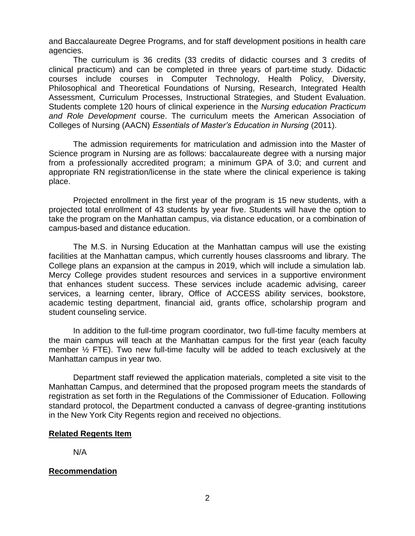and Baccalaureate Degree Programs, and for staff development positions in health care agencies.

The curriculum is 36 credits (33 credits of didactic courses and 3 credits of clinical practicum) and can be completed in three years of part-time study. Didactic courses include courses in Computer Technology, Health Policy, Diversity, Philosophical and Theoretical Foundations of Nursing, Research, Integrated Health Assessment, Curriculum Processes, Instructional Strategies, and Student Evaluation. Students complete 120 hours of clinical experience in the *Nursing education Practicum and Role Development* course. The curriculum meets the American Association of Colleges of Nursing (AACN) *Essentials of Master's Education in Nursing* (2011).

The admission requirements for matriculation and admission into the Master of Science program in Nursing are as follows: baccalaureate degree with a nursing major from a professionally accredited program; a minimum GPA of 3.0; and current and appropriate RN registration/license in the state where the clinical experience is taking place.

Projected enrollment in the first year of the program is 15 new students, with a projected total enrollment of 43 students by year five. Students will have the option to take the program on the Manhattan campus, via distance education, or a combination of campus-based and distance education.

The M.S. in Nursing Education at the Manhattan campus will use the existing facilities at the Manhattan campus, which currently houses classrooms and library. The College plans an expansion at the campus in 2019, which will include a simulation lab. Mercy College provides student resources and services in a supportive environment that enhances student success. These services include academic advising, career services, a learning center, library, Office of ACCESS ability services, bookstore, academic testing department, financial aid, grants office, scholarship program and student counseling service.

In addition to the full-time program coordinator, two full-time faculty members at the main campus will teach at the Manhattan campus for the first year (each faculty member  $\frac{1}{2}$  FTE). Two new full-time faculty will be added to teach exclusively at the Manhattan campus in year two.

Department staff reviewed the application materials, completed a site visit to the Manhattan Campus, and determined that the proposed program meets the standards of registration as set forth in the Regulations of the Commissioner of Education. Following standard protocol, the Department conducted a canvass of degree-granting institutions in the New York City Regents region and received no objections.

# **Related Regents Item**

N/A

# **Recommendation**